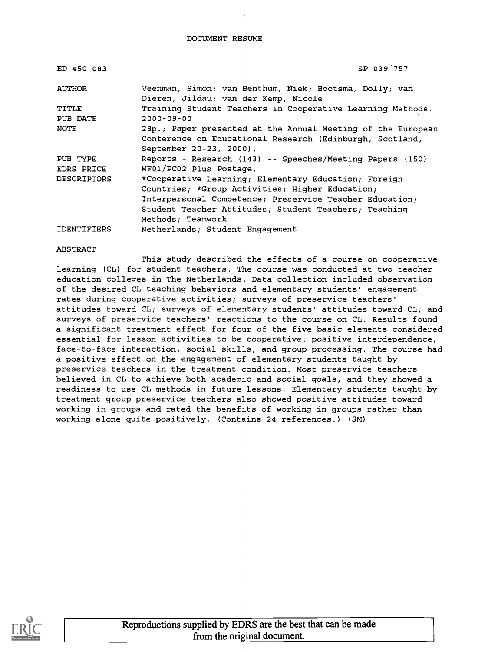DOCUMENT RESUME

| ED 450 083         | SP 039 757                                                                                                                                         |
|--------------------|----------------------------------------------------------------------------------------------------------------------------------------------------|
| <b>AUTHOR</b>      | Veenman, Simon; van Benthum, Niek; Bootsma, Dolly; van<br>Dieren, Jildau; van der Kemp, Nicole                                                     |
| TITLE              | Training Student Teachers in Cooperative Learning Methods.                                                                                         |
| PUB DATE           | $2000 - 09 - 00$                                                                                                                                   |
| NOTE               | 28p.; Paper presented at the Annual Meeting of the European<br>Conference on Educational Research (Edinburgh, Scotland,<br>September 20-23, 2000). |
| PUB TYPE           | Reports - Research (143) -- Speeches/Meeting Papers (150)                                                                                          |
| EDRS PRICE         | MF01/PC02 Plus Postage.                                                                                                                            |
| <b>DESCRIPTORS</b> | *Cooperative Learning; Elementary Education; Foreign                                                                                               |
|                    | Countries; *Group Activities; Higher Education;                                                                                                    |
|                    | Interpersonal Competence; Preservice Teacher Education;                                                                                            |
|                    | Student Teacher Attitudes; Student Teachers; Teaching                                                                                              |
|                    | Methods; Teamwork                                                                                                                                  |
| <b>IDENTIFIERS</b> | Netherlands; Student Engagement                                                                                                                    |

#### ABSTRACT

This study described the effects of a course on cooperative learning (CL) for student teachers. The course was conducted at two teacher education colleges in The Netherlands. Data collection included observation of the desired CL teaching behaviors and elementary students' engagement rates during cooperative activities; surveys of preservice teachers' attitudes toward CL; surveys of elementary students' attitudes toward CL; and surveys of preservice teachers' reactions to the course on CL. Results found a significant treatment effect for four of the five basic elements considered essential for lesson activities to be cooperative: positive interdependence, face-to-face interaction, social skills, and group processing. The course had a positive effect on the engagement of elementary students taught by preservice teachers in the treatment condition. Most preservice teachers believed in CL to achieve both academic and social goals, and they showed a readiness to use CL methods in future lessons. Elementary students taught by treatment group preservice teachers also showed positive attitudes toward working in groups and rated the benefits of working in groups rather than working alone quite positively. (Contains 24 references.) (SM)

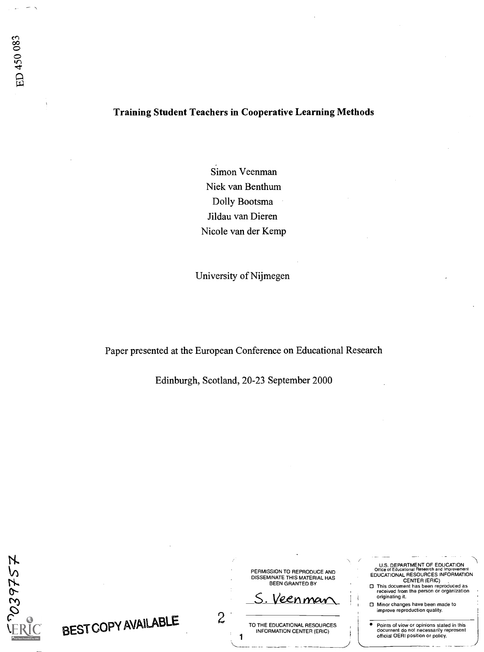$\frac{1}{2}$ 

## Training Student Teachers in Cooperative Learning Methods

Simon Veenman Niek van Benthum Dolly Bootsma Jildau van Dieren Nicole van der Kemp

University of Nijmegen

Paper presented at the European Conference on Educational Research

Edinburgh, Scotland, 20-23 September 2000

|   |                     | PERMISSION TO REPRODUCE AND<br>DISSEMINATE THIS MATERIAL HAS<br><b>BEEN GRANTED BY</b><br>S. Veenman | U.S. DEPARTMENT OF EDUCATION<br>Olfice of Educational Research and Improvement<br>EDUCATIONAL RESOURCES INFORMATION<br><b>CENTER (ERIC)</b><br>□ This document has been reproduced as<br>received from the person or organization<br>originating it.<br>□ Minor changes have been made to |
|---|---------------------|------------------------------------------------------------------------------------------------------|-------------------------------------------------------------------------------------------------------------------------------------------------------------------------------------------------------------------------------------------------------------------------------------------|
| ⌒ | BEST COPY AVAILABLE | TO THE EDUCATIONAL RESOURCES<br>INFORMATION CENTER (ERIC)                                            | improve reproduction quality.<br>Points of view or opinions stated in this<br>document do not necessarily represent<br>official OERI position or policy.                                                                                                                                  |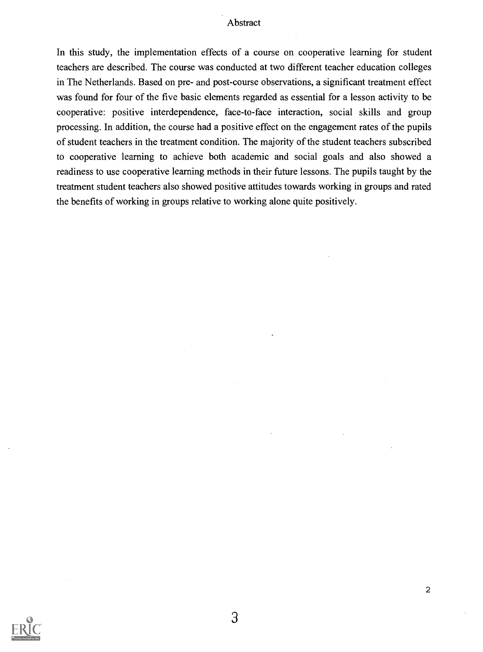#### Abstract

In this study, the implementation effects of a course on cooperative learning for student teachers are described. The course was conducted at two different teacher education colleges in The Netherlands. Based on pre- and post-course observations, a significant treatment effect was found for four of the five basic elements regarded as essential for a lesson activity to be cooperative: positive interdependence, face-to-face interaction, social skills and group processing. In addition, the course had a positive effect on the engagement rates of the pupils of student teachers in the treatment condition. The majority of the student teachers subscribed to cooperative learning to achieve both academic and social goals and also showed a readiness to use cooperative learning methods in their future lessons. The pupils taught by the treatment student teachers also showed positive attitudes towards working in groups and rated the benefits of working in groups relative to working alone quite positively.

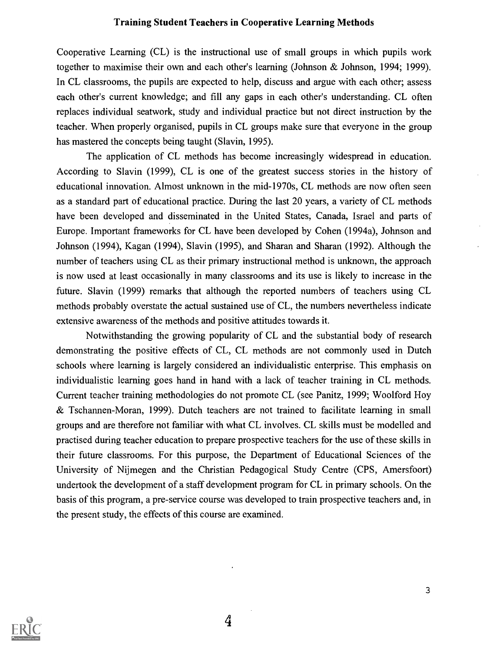#### Training Student Teachers in Cooperative Learning Methods

Cooperative Learning (CL) is the instructional use of small groups in which pupils work together to maximise their own and each other's learning (Johnson & Johnson, 1994; 1999). In CL classrooms, the pupils are expected to help, discuss and argue with each other; assess each other's current knowledge; and fill any gaps in each other's understanding. CL often replaces individual seatwork, study and individual practice but not direct instruction by the teacher. When properly organised, pupils in CL groups make sure that everyone in the group has mastered the concepts being taught (Slavin, 1995).

The application of CL methods has become increasingly widespread in education. According to Slavin (1999), CL is one of the greatest success stories in the history of educational innovation. Almost unknown in the mid-1970s, CL methods are now often seen as a standard part of educational practice. During the last 20 years, a variety of CL methods have been developed and disseminated in the United States, Canada, Israel and parts of Europe. Important frameworks for CL have been developed by Cohen (1994a), Johnson and Johnson (1994), Kagan (1994), Slavin (1995), and Sharan and Sharan (1992). Although the number of teachers using CL as their primary instructional method is unknown, the approach is now used at least occasionally in many classrooms and its use is likely to increase in the future. Slavin (1999) remarks that although the reported numbers of teachers using CL methods probably overstate the actual sustained use of CL, the numbers nevertheless indicate extensive awareness of the methods and positive attitudes towards it.

Notwithstanding the growing popularity of CL and the substantial body of research demonstrating the positive effects of CL, CL methods are not commonly used in Dutch schools where learning is largely considered an individualistic enterprise. This emphasis on individualistic learning goes hand in hand with a lack of teacher training in CL methods. Current teacher training methodologies do not promote CL (see Panitz, 1999; Woolford Hoy & Tschannen-Moran, 1999). Dutch teachers are not trained to facilitate learning in small groups and are therefore not familiar with what CL involves. CL skills must be modelled and practised during teacher education to prepare prospective teachers for the use of these skills in their future classrooms. For this purpose, the Department of Educational Sciences of the University of Nijmegen and the Christian Pedagogical Study Centre (CPS, Amersfoort) undertook the development of a staff development program for CL in primary schools. On the basis of this program, a pre-service course was developed to train prospective teachers and, in the present study, the effects of this course are examined.

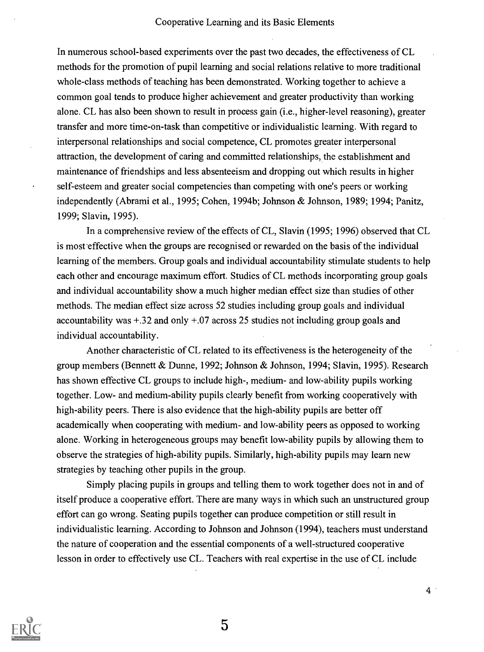#### Cooperative Learning and its Basic Elements

In numerous school-based experiments over the past two decades, the effectiveness of CL methods for the promotion of pupil learning and social relations relative to more traditional whole-class methods of teaching has been demonstrated. Working together to achieve a common goal tends to produce higher achievement and greater productivity than working alone. CL has also been shown to result in process gain (i.e., higher-level reasoning), greater transfer and more time-on-task than competitive or individualistic learning. With regard to interpersonal relationships and social competence, CL promotes greater interpersonal attraction, the development of caring and committed relationships, the establishment and maintenance of friendships and less absenteeism and dropping out which results in higher self-esteem and greater social competencies than competing with one's peers or working independently (Abrami et al., 1995; Cohen, 1994b; Johnson & Johnson, 1989; 1994; Panitz, 1999; Slavin, 1995).

In a comprehensive review of the effects of CL, Slavin (1995; 1996) observed that CL is most effective when the groups are recognised or rewarded on the basis of the individual learning of the members. Group goals and individual accountability stimulate students to help each other and encourage maximum effort. Studies of CL methods incorporating group goals and individual accountability show a much higher median effect size than studies of other methods. The median effect size across 52 studies including group goals and individual accountability was +.32 and only +.07 across 25 studies not including group goals and individual accountability.

Another characteristic of CL related to its effectiveness is the heterogeneity of the group members (Bennett & Dunne, 1992; Johnson & Johnson, 1994; Slavin, 1995). Research has shown effective CL groups to include high-, medium- and low-ability pupils working together. Low- and medium-ability pupils clearly benefit from working cooperatively with high-ability peers. There is also evidence that the high-ability pupils are better off academically when cooperating with medium- and low-ability peers as opposed to working alone. Working in heterogeneous groups may benefit low-ability pupils by allowing them to observe the strategies of high-ability pupils. Similarly, high-ability pupils may learn new strategies by teaching other pupils in the group.

Simply placing pupils in groups and telling them to work together does not in and of itself produce a cooperative effort. There are many ways in which such an unstructured group effort can go wrong. Seating pupils together can produce competition or still result in individualistic learning. According to Johnson and Johnson (1994), teachers must understand the nature of cooperation and the essential components of a well-structured cooperative lesson in order to effectively use CL. Teachers with real expertise in the use of CL include



5

 $\overline{4}$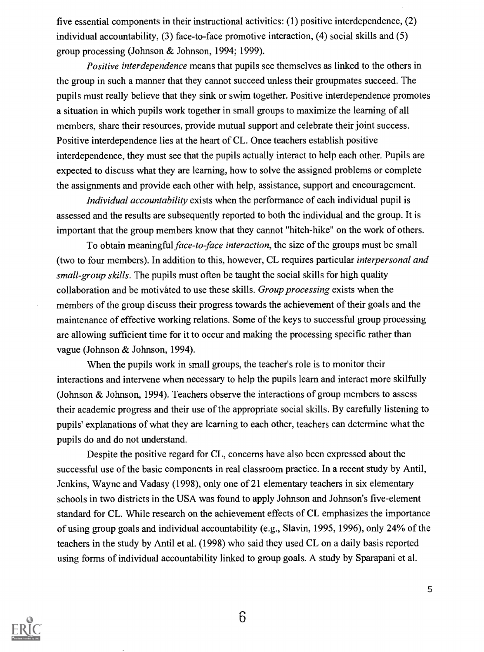five essential components in their instructional activities: (1) positive interdependence, (2) individual accountability, (3) face-to-face promotive interaction, (4) social skills and (5) group processing (Johnson & Johnson, 1994; 1999).

Positive interdependence means that pupils see themselves as linked to the others in the group in such a manner that they cannot succeed unless their groupmates succeed. The pupils must really believe that they sink or swim together. Positive interdependence promotes a situation in which pupils work together in small groups to maximize the learning of all members, share their resources, provide mutual support and celebrate their joint success. Positive interdependence lies at the heart of CL. Once teachers establish positive interdependence, they must see that the pupils actually interact to help each other. Pupils are expected to discuss what they are learning, how to solve the assigned problems or complete the assignments and provide each other with help, assistance, support and encouragement.

Individual accountability exists when the performance of each individual pupil is assessed and the results are subsequently reported to both the individual and the group. It is important that the group members know that they cannot "hitch-hike" on the work of others.

To obtain meaningful face-to-face interaction, the size of the groups must be small (two to four members). In addition to this, however, CL requires particular *interpersonal and* small-group skills. The pupils must often be taught the social skills for high quality collaboration and be motivated to use these skills. Group processing exists when the members of the group discuss their progress towards the achievement of their goals and the maintenance of effective working relations. Some of the keys to successful group processing are allowing sufficient time for it to occur and making the processing specific rather than vague (Johnson & Johnson, 1994).

When the pupils work in small groups, the teacher's role is to monitor their interactions and intervene when necessary to help the pupils learn and interact more skilfully (Johnson  $&$  Johnson, 1994). Teachers observe the interactions of group members to assess their academic progress and their use of the appropriate social skills. By carefully listening to pupils' explanations of what they are learning to each other, teachers can determine what the pupils do and do not understand.

Despite the positive regard for CL, concerns have also been expressed about the successful use of the basic components in real classroom practice. In a recent study by Antil, Jenkins, Wayne and Vadasy (1998), only one of 21 elementary teachers in six elementary schools in two districts in the USA was found to apply Johnson and Johnson's five-element standard for CL. While research on the achievement effects of CL emphasizes the importance of using group goals and individual accountability (e.g., Slavin, 1995, 1996), only 24% of the teachers in the study by Antil et al. (1998) who said they used CL on a daily basis reported using forms of individual accountability linked to group goals. A study by Sparapani et al.

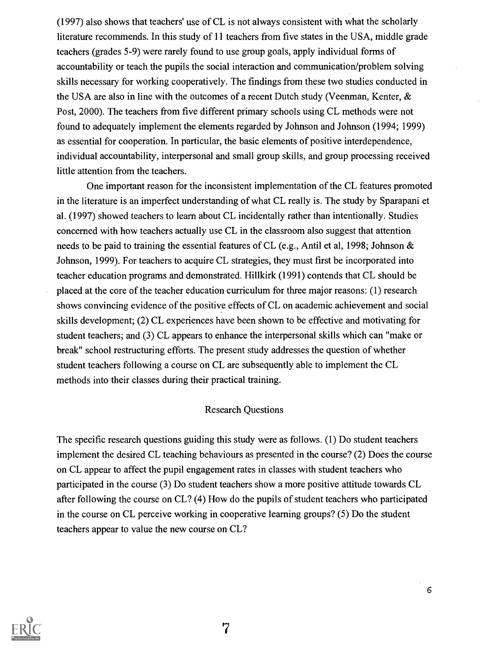(1997) also shows that teachers' use of CL is not always consistent with what the scholarly literature recommends. In this study of 11 teachers from five states in the USA, middle grade teachers (grades 5-9) were rarely found to use group goals, apply individual forms of accountability or teach the pupils the social interaction and communication/problem solving skills necessary for working cooperatively. The findings from these two studies conducted in the USA are also in line with the outcomes of a recent Dutch study (Veenman, Kenter,  $\&$ Post, 2000). The teachers from five different primary schools using CL methods were not found to adequately implement the elements regarded by Johnson and Johnson (1994; 1999) as essential for cooperation. In particular, the basic elements of positive interdependence, individual accountability, interpersonal and small group skills, and group processing received little attention from the teachers.

One important reason for the inconsistent implementation of the CL features promoted in the literature is an imperfect understanding of what CL really is. The study by Sparapani et al. (1997) showed teachers to learn about CL incidentally rather than intentionally. Studies concerned with how teachers actually use CL in the classroom also suggest that attention needs to be paid to training the essential features of CL (e.g., Antil et al, 1998; Johnson  $\&$ Johnson, 1999). For teachers to acquire CL strategies, they must first be incorporated into teacher education programs and demonstrated. Hillkirk (1991) contends that CL should be placed at the core of the teacher education curriculum for three major reasons: (1) research shows convincing evidence of the positive effects of CL on academic achievement and social skills development; (2) CL experiences have been shown to be effective and motivating for student teachers; and (3) CL appears to enhance the interpersonal skills which can "make or break" school restructuring efforts. The present study addresses the question of whether student teachers following a course on CL are subsequently able to implement the CL methods into their classes during their practical training.

#### Research Questions

The specific research questions guiding this study were as follows. (1) Do student teachers implement the desired CL teaching behaviours as presented in the course? (2) Does the course on CL appear to affect the pupil engagement rates in classes with student teachers who participated in the course (3) Do student teachers show a more positive attitude towards CL after following the course on CL? (4) How do the pupils of student teachers who participated in the course on CL perceive working in cooperative learning groups? (5) Do the student teachers appear to value the new course on CL?

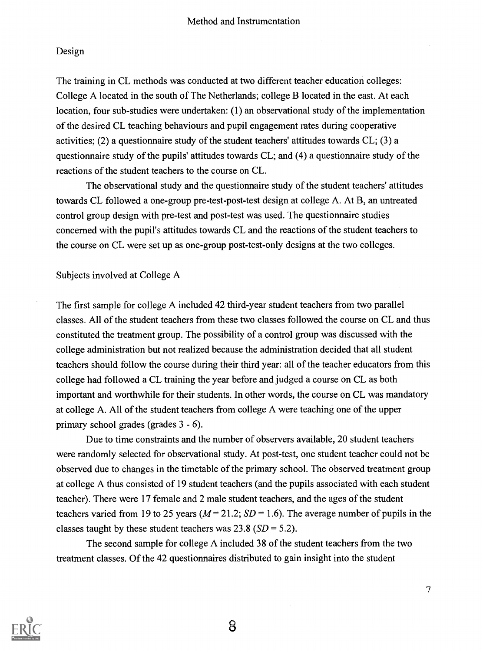#### Design

The training in CL methods was conducted at two different teacher education colleges: College A located in the south of The Netherlands; college B located in the east. At each location, four sub-studies were undertaken: (1) an observational study of the implementation of the desired CL teaching behaviours and pupil engagement rates during cooperative activities; (2) a questionnaire study of the student teachers' attitudes towards CL; (3) a questionnaire study of the pupils' attitudes towards CL; and (4) a questionnaire study of the reactions of the student teachers to the course on CL.

The observational study and the questionnaire study of the student teachers' attitudes towards CL followed a one-group pre-test-post-test design at college A. At B, an untreated control group design with pre-test and post-test was used. The questionnaire studies concerned with the pupil's attitudes towards CL and the reactions of the student teachers to the course on CL were set up as one-group post-test-only designs at the two colleges.

Subjects involved at College A

The first sample for college A included 42 third-year student teachers from two parallel classes. All of the student teachers from these two classes followed the course on CL and thus constituted the treatment group. The possibility of a control group was discussed with the college administration but not realized because the administration decided that all student teachers should follow the course during their third year: all of the teacher educators from this college had followed a CL training the year before and judged a course on CL as both important and worthwhile for their students. In other words, the course on CL was mandatory at college A. All of the student teachers from college A were teaching one of the upper primary school grades (grades 3 - 6).

Due to time constraints and the number of observers available, 20 student teachers were randomly selected for observational study. At post-test, one student teacher could not be observed due to changes in the timetable of the primary school. The observed treatment group at college A thus consisted of 19 student teachers (and the pupils associated with each student teacher). There were 17 female and 2 male student teachers, and the ages of the student teachers varied from 19 to 25 years ( $M = 21.2$ ;  $SD = 1.6$ ). The average number of pupils in the classes taught by these student teachers was  $23.8$  ( $SD = 5.2$ ).

The second sample for college A included 38 of the student teachers from the two treatment classes. Of the 42 questionnaires distributed to gain insight into the student



3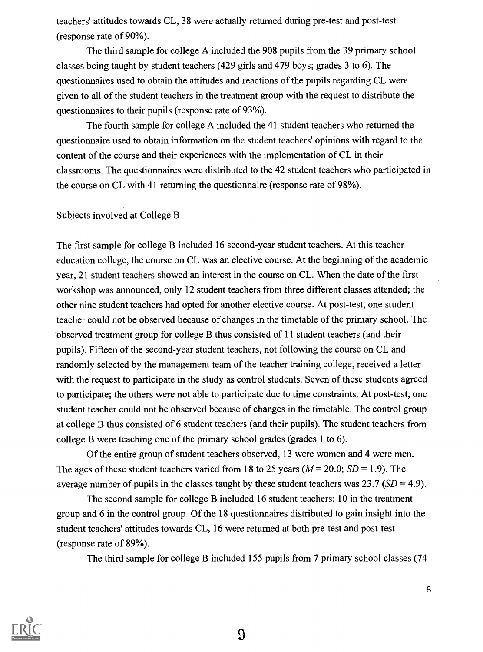teachers' attitudes towards CL, 38 were actually returned during pre-test and post-test (response rate of 90%).

The third sample for college A included the 908 pupils from the 39 primary school classes being taught by student teachers (429 girls and 479 boys; grades 3 to 6). The questionnaires used to obtain the attitudes and reactions of the pupils regarding CL were given to all of the student teachers in the treatment group with the request to distribute the questionnaires to their pupils (response rate of 93%).

The fourth sample for college A included the 41 student teachers who returned the questionnaire used to obtain information on the student teachers' opinions with regard to the content of the course and their experiences with the implementation of CL in their classrooms. The questionnaires were distributed to the 42 student teachers who participated in the course on CL with 41 returning the questionnaire (response rate of 98%).

### Subjects involved at College B

The first sample for college B included 16 second-year student teachers. At this teacher education college, the course on CL was an elective course. At the beginning of the academic year, 21 student teachers showed an interest in the course on CL. When the date of the first workshop was announced, only 12 student teachers from three different classes attended; the other nine student teachers had opted for another elective course. At post-test, one student teacher could not be observed because of changes in the timetable of the primary school. The observed treatment group for college B thus consisted of 11 student teachers (and their pupils). Fifteen of the second-year student teachers, not following the course on CL and randomly selected by the management team of the teacher training college, received a letter with the request to participate in the study as control students. Seven of these students agreed to participate; the others were not able to participate due to time constraints. At post-test, one student teacher could not be observed because of changes in the timetable. The control group at college B thus consisted of 6 student teachers (and their pupils). The student teachers from college B were teaching one of the primary school grades (grades 1 to 6).

Of the entire group of student teachers observed, 13 were women and 4 were men. The ages of these student teachers varied from 18 to 25 years ( $M = 20.0$ ;  $SD = 1.9$ ). The average number of pupils in the classes taught by these student teachers was 23.7 ( $SD = 4.9$ ).

The second sample for college B included 16 student teachers: 10 in the treatment group and 6 in the control group. Of the 18 questionnaires distributed to gain insight into the student teachers' attitudes towards CL, 16 were returned at both pre-test and post-test (response rate of 89%).

The third sample for college B included 155 pupils from 7 primary school classes (74

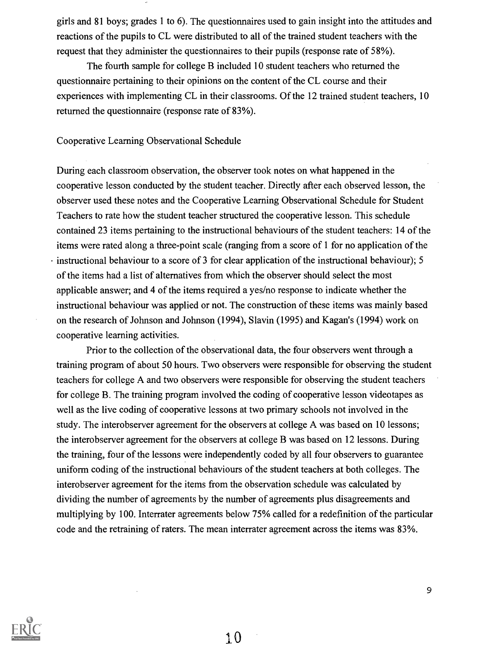girls and 81 boys; grades 1 to 6). The questionnaires used to gain insight into the attitudes and reactions of the pupils to CL were distributed to all of the trained student teachers with the request that they administer the questionnaires to their pupils (response rate of 58%).

The fourth sample for college B included 10 student teachers who returned the questionnaire pertaining to their opinions on the content of the CL course and their experiences with implementing CL in their classrooms. Of the 12 trained student teachers, 10 returned the questionnaire (response rate of 83%).

#### Cooperative Learning Observational Schedule

During each classroom observation, the observer took notes on what happened in the cooperative lesson conducted by the student teacher. Directly after each observed lesson, the observer used these notes and the Cooperative Learning Observational Schedule for Student Teachers to rate how the student teacher structured the cooperative lesson. This schedule contained 23 items pertaining to the instructional behaviours of the student teachers: 14 of the items were rated along a three-point scale (ranging from a score of 1 for no application of the instructional behaviour to a score of 3 for clear application of the instructional behaviour); 5 of the items had a list of alternatives from which the observer should select the most applicable answer; and 4 of the items required a yes/no response to indicate whether the instructional behaviour was applied or not. The construction of these items was mainly based on the research of Johnson and Johnson (1994), Slavin (1995) and Kagan's (1994) work on cooperative learning activities.

Prior to the collection of the observational data, the four observers went through a training program of about 50 hours. Two observers were responsible for observing the student teachers for college A and two observers were responsible for observing the student teachers for college B. The training program involved the coding of cooperative lesson videotapes as well as the live coding of cooperative lessons at two primary schools not involved in the study. The interobserver agreement for the observers at college A was based on 10 lessons; the interobserver agreement for the observers at college B was based on 12 lessons. During the training, four of the lessons were independently coded by all four observers to guarantee uniform coding of the instructional behaviours of the student teachers at both colleges. The interobserver agreement for the items from the observation schedule was calculated by dividing the number of agreements by the number of agreements plus disagreements and multiplying by 100. Interrater agreements below 75% called for a redefinition of the particular code and the retraining of raters. The mean interrater agreement across the items was 83%.

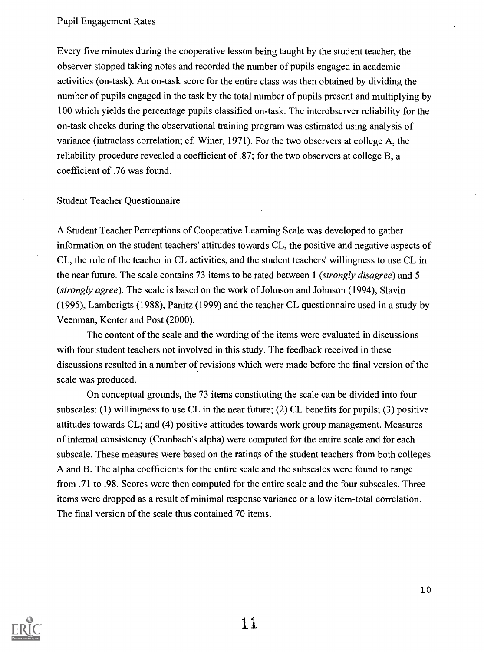#### Pupil Engagement Rates

Every five minutes during the cooperative lesson being taught by the student teacher, the observer stopped taking notes and recorded the number of pupils engaged in academic activities (on-task). An on-task score for the entire class was then obtained by dividing the number of pupils engaged in the task by the total number of pupils present and multiplying by 100 which yields the percentage pupils classified on-task. The interobserver reliability for the on-task checks during the observational training program was estimated using analysis of variance (intraclass correlation; cf. Winer, 1971). For the two observers at college A, the reliability procedure revealed a coefficient of .87; for the two observers at college B, a coefficient of .76 was found.

### Student Teacher Questionnaire

A Student Teacher Perceptions of Cooperative Learning Scale was developed to gather information on the student teachers' attitudes towards CL, the positive and negative aspects of CL, the role of the teacher in CL activities, and the student teachers' willingness to use CL in the near future. The scale contains 73 items to be rated between 1 (strongly disagree) and 5 (strongly agree). The scale is based on the work of Johnson and Johnson (1994), Slavin (1995), Lamberigts (1988), Panitz (1999) and the teacher CL questionnaire used in a study by Veenman, Kenter and Post (2000).

The content of the scale and the wording of the items were evaluated in discussions with four student teachers not involved in this study. The feedback received in these discussions resulted in a number of revisions which were made before the final version of the scale was produced.

On conceptual grounds, the 73 items constituting the scale can be divided into four subscales: (1) willingness to use CL in the near future; (2) CL benefits for pupils; (3) positive attitudes towards CL; and (4) positive attitudes towards work group management. Measures of internal consistency (Cronbach's alpha) were computed for the entire scale and for each subscale. These measures were based on the ratings of the student teachers from both colleges A and B. The alpha coefficients for the entire scale and the subscales were found to range from .71 to .98. Scores were then computed for the entire scale and the four subscales. Three items were dropped as a result of minimal response variance or a low item-total correlation. The final version of the scale thus contained 70 items.

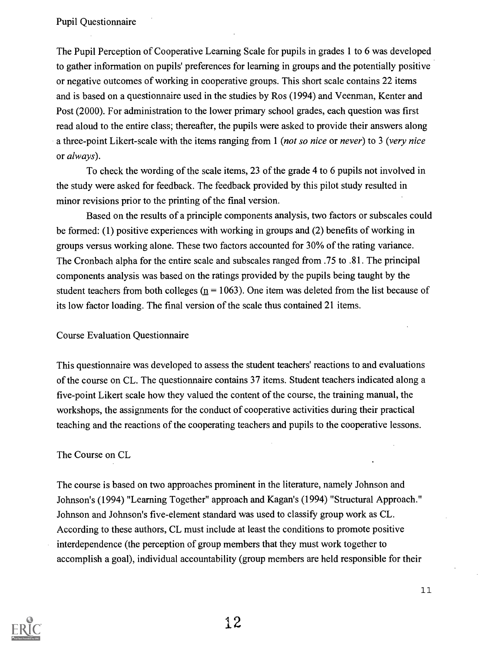#### Pupil Questionnaire

The Pupil Perception of Cooperative Learning Scale for pupils in grades 1 to 6 was developed to gather information on pupils' preferences for learning in groups and the potentially positive or negative outcomes of working in cooperative groups. This short scale contains 22 items and is based on a questionnaire used in the studies by Ros (1994) and Veenman, Kenter and Post (2000). For administration to the lower primary school grades, each question was first read aloud to the entire class; thereafter, the pupils were asked to provide their answers along a three-point Likert-scale with the items ranging from 1 (not so nice or never) to 3 (very nice or always).

To check the wording of the scale items, 23 of the grade 4 to 6 pupils not involved in the study were asked for feedback. The feedback provided by this pilot study resulted in minor revisions prior to the printing of the final version.

Based on the results of a principle components analysis, two factors or subscales could be formed: (1) positive experiences with working in groups and (2) benefits of working in groups versus working alone. These two factors accounted for 30% of the rating variance. The Cronbach alpha for the entire scale and subscales ranged from .75 to .81. The principal components analysis was based on the ratings provided by the pupils being taught by the student teachers from both colleges ( $n = 1063$ ). One item was deleted from the list because of its low factor loading. The final version of the scale thus contained 21 items.

#### Course Evaluation Questionnaire

This questionnaire was developed to assess the student teachers' reactions to and evaluations of the course on CL. The questionnaire contains 37 items. Student teachers indicated along a five-point Likert scale how they valued the content of the course, the training manual, the workshops, the assignments for the conduct of cooperative activities during their practical teaching and the reactions of the cooperating teachers and pupils to the cooperative lessons.

#### The Course on CL

The course is based on two approaches prominent in the literature, namely Johnson and Johnson's (1994) "Learning Together" approach and Kagan's (1994) "Structural Approach." Johnson and Johnson's five-element standard was used to classify group work as CL. According to these authors, CL must include at least the conditions to promote positive interdependence (the perception of group members that they must work together to accomplish a goal), individual accountability (group members are held responsible for their



12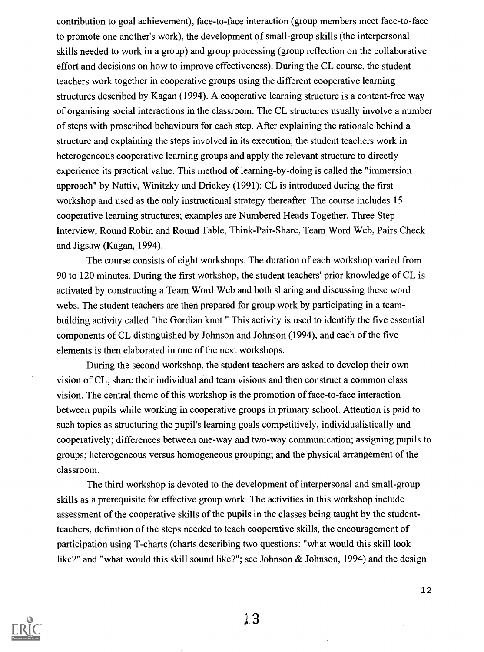contribution to goal achievement), face-to-face interaction (group members meet face-to-face to promote one another's work), the development of small-group skills (the interpersonal skills needed to work in a group) and group processing (group reflection on the collaborative effort and decisions on how to improve effectiveness). During the CL course, the student teachers work together in cooperative groups using the different cooperative learning structures described by Kagan (1994). A cooperative learning structure is a content-free way of organising social interactions in the classroom. The CL structures usually involve a number of steps with proscribed behaviours for each step. After explaining the rationale behind a structure and explaining the steps involved in its execution, the student teachers work in heterogeneous cooperative learning groups and apply the relevant structure to directly experience its practical value. This method of learning-by-doing is called the "immersion approach" by Nattiv, Winitzky and Drickey (1991): CL is introduced during the first workshop and used as the only instructional strategy thereafter. The course includes 15 cooperative learning structures; examples are Numbered Heads Together, Three Step Interview, Round Robin and Round Table, Think-Pair-Share, Team Word Web, Pairs Check and Jigsaw (Kagan, 1994).

The course consists of eight workshops. The duration of each workshop varied from 90 to 120 minutes. During the first workshop, the student teachers' prior knowledge of CL is activated by constructing a Team Word Web and both sharing and discussing these word webs. The student teachers are then prepared for group work by participating in a teambuilding activity called "the Gordian knot." This activity is used to identify the five essential components of CL distinguished by Johnson and Johnson (1994), and each of the five elements is then elaborated in one of the next workshops.

During the second workshop, the student teachers are asked to develop their own vision of CL, share their individual and team visions and then construct a common class vision. The central theme of this workshop is the promotion of face-to-face interaction between pupils while working in cooperative groups in primary school. Attention is paid to such topics as structuring the pupil's learning goals competitively, individualistically and cooperatively; differences between one-way and two-way communication; assigning pupils to groups; heterogeneous versus homogeneous grouping; and the physical arrangement of the classroom.

The third workshop is devoted to the development of interpersonal and small-group skills as a prerequisite for effective group work. The activities in this workshop include assessment of the cooperative skills of the pupils in the classes being taught by the studentteachers, definition of the steps needed to teach cooperative skills, the encouragement of participation using T-charts (charts describing two questions: "what would this skill look like?" and "what would this skill sound like?"; see Johnson & Johnson, 1994) and the design



13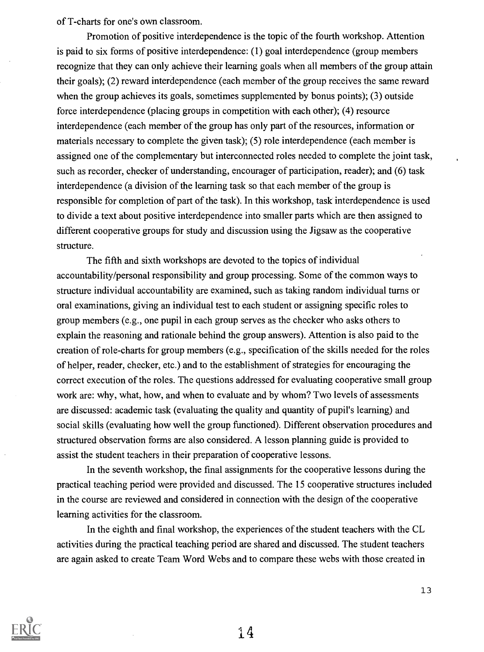of T-charts for one's own classroom.

Promotion of positive interdependence is the topic of the fourth workshop. Attention is paid to six forms of positive interdependence: (1) goal interdependence (group members recognize that they can only achieve their learning goals when all members of the group attain their goals); (2) reward interdependence (each member of the group receives the same reward when the group achieves its goals, sometimes supplemented by bonus points); (3) outside force interdependence (placing groups in competition with each other); (4) resource interdependence (each member of the group has only part of the resources, information or materials necessary to complete the given task); (5) role interdependence (each member is assigned one of the complementary but interconnected roles needed to complete the joint task, such as recorder, checker of understanding, encourager of participation, reader); and (6) task interdependence (a division of the learning task so that each member of the group is responsible for completion of part of the task). In this workshop, task interdependence is used to divide a text about positive interdependence into smaller parts which are then assigned to different cooperative groups for study and discussion using the Jigsaw as the cooperative structure.

The fifth and sixth workshops are devoted to the topics of individual accountability/personal responsibility and group processing. Some of the common ways to structure individual accountability are examined, such as taking random individual turns or oral examinations, giving an individual test to each student or assigning specific roles to group members (e.g., one pupil in each group serves as the checker who asks others to explain the reasoning and rationale behind the group answers). Attention is also paid to the creation of role-charts for group members (e.g., specification of the skills needed for the roles of helper, reader, checker, etc.) and to the establishment of strategies for encouraging the correct execution of the roles. The questions addressed for evaluating cooperative small group work are: why, what, how, and when to evaluate and by whom? Two levels of assessments are discussed: academic task (evaluating the quality and quantity of pupil's learning) and social skills (evaluating how well the group functioned). Different observation procedures and structured observation forms are also considered. A lesson planning guide is provided to assist the student teachers in their preparation of cooperative lessons.

In the seventh workshop, the final assignments for the cooperative lessons during the practical teaching period were provided and discussed. The 15 cooperative structures included in the course are reviewed and considered in connection with the design of the cooperative learning activities for the classroom.

In the eighth and final workshop, the experiences of the student teachers with the CL activities during the practical teaching period are shared and discussed. The student teachers are again asked to create Team Word Webs and to compare these webs with those created in

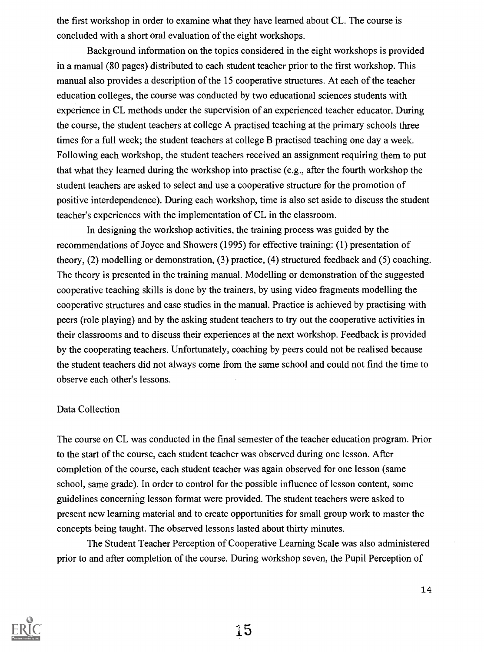the first workshop in order to examine what they have learned about CL. The course is concluded with a short oral evaluation of the eight workshops.

Background information on the topics considered in the eight workshops is provided in a manual (80 pages) distributed to each student teacher prior to the first workshop. This manual also provides a description of the 15 cooperative structures. At each of the teacher education colleges, the course was conducted by two educational sciences students with experience in CL methods under the supervision of an experienced teacher educator. During the course, the student teachers at college A practised teaching at the primary schools three times for a full week; the student teachers at college B practised teaching one day a week. Following each workshop, the student teachers received an assignment requiring them to put that what they learned during the workshop into practise (e.g., after the fourth workshop the student teachers are asked to select and use a cooperative structure for the promotion of positive interdependence). During each workshop, time is also set aside to discuss the student teacher's experiences with the implementation of CL in the classroom.

In designing the workshop activities, the training process was guided by the recommendations of Joyce and Showers (1995) for effective training: (1) presentation of theory, (2) modelling or demonstration, (3) practice, (4) structured feedback and (5) coaching. The theory is presented in the training manual. Modelling or demonstration of the suggested cooperative teaching skills is done by the trainers, by using video fragments modelling the cooperative structures and case studies in the manual. Practice is achieved by practising with peers (role playing) and by the asking student teachers to try out the cooperative activities in their classrooms and to discuss their experiences at the next workshop. Feedback is provided by the cooperating teachers. Unfortunately, coaching by peers could not be realised because the student teachers did not always come from the same school and could not find the time to observe each other's lessons.

#### Data Collection

The course on CL was conducted in the final semester of the teacher education program. Prior to the start of the course, each student teacher was observed during one lesson. After completion of the course, each student teacher was again observed for one lesson (same school, same grade). In order to control for the possible influence of lesson content, some guidelines concerning lesson format were provided. The student teachers were asked to present new learning material and to create opportunities for small group work to master the concepts being taught. The observed lessons lasted about thirty minutes.

The Student Teacher Perception of Cooperative Learning Scale was also administered prior to and after completion of the course. During workshop seven, the Pupil Perception of

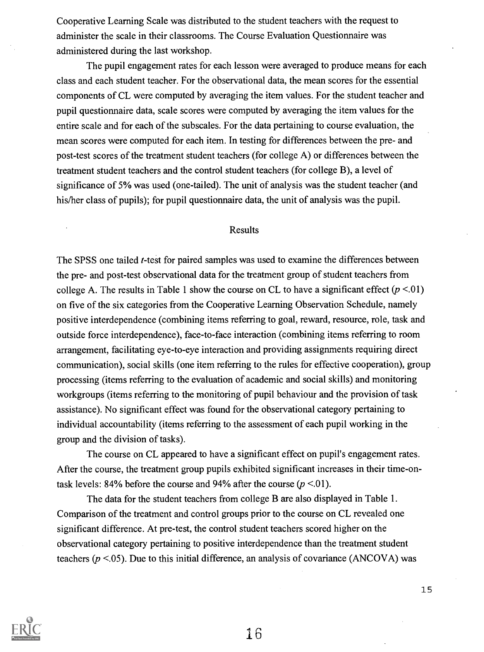Cooperative Learning Scale was distributed to the student teachers with the request to administer the scale in their classrooms. The Course Evaluation Questionnaire was administered during the last workshop.

The pupil engagement rates for each lesson were averaged to produce means for each class and each student teacher. For the observational data, the mean scores for the essential components of CL were computed by averaging the item values. For the student teacher and pupil questionnaire data, scale scores were computed by averaging the item values for the entire scale and for each of the subscales. For the data pertaining to course evaluation, the mean scores were computed for each item. In testing for differences between the pre- and post-test scores of the treatment student teachers (for college A) or differences between the treatment student teachers and the control student teachers (for college B), a level of significance of 5% was used (one-tailed). The unit of analysis was the student teacher (and his/her class of pupils); for pupil questionnaire data, the unit of analysis was the pupil.

#### Results

The SPSS one tailed *t*-test for paired samples was used to examine the differences between the pre- and post-test observational data for the treatment group of student teachers from college A. The results in Table 1 show the course on CL to have a significant effect  $(p < 01)$ on five of the six categories from the Cooperative Learning Observation Schedule, namely positive interdependence (combining items referring to goal, reward, resource, role, task and outside force interdependence), face-to-face interaction (combining items referring to room arrangement, facilitating eye-to-eye interaction and providing assignments requiring direct communication), social skills (one item referring to the rules for effective cooperation), group processing (items referring to the evaluation of academic and social skills) and monitoring workgroups (items referring to the monitoring of pupil behaviour and the provision of task assistance). No significant effect was found for the observational category pertaining to individual accountability (items referring to the assessment of each pupil working in the group and the division of tasks).

The course on CL appeared to have a significant effect on pupil's engagement rates. After the course, the treatment group pupils exhibited significant increases in their time-ontask levels: 84% before the course and 94% after the course ( $p < 01$ ).

The data for the student teachers from college B are also displayed in Table 1. Comparison of the treatment and control groups prior to the course on CL revealed one significant difference. At pre-test, the control student teachers scored higher on the observational category pertaining to positive interdependence than the treatment student teachers ( $p \le 0.05$ ). Due to this initial difference, an analysis of covariance (ANCOVA) was

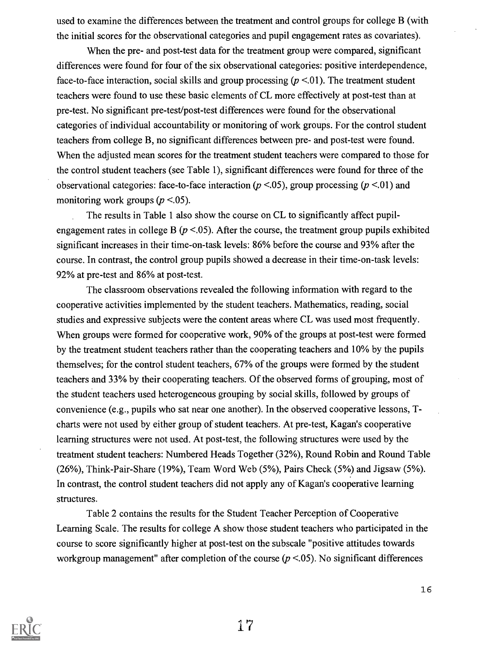used to examine the differences between the treatment and control groups for college B (with the initial scores for the observational categories and pupil engagement rates as covariates).

When the pre- and post-test data for the treatment group were compared, significant differences were found for four of the six observational categories: positive interdependence, face-to-face interaction, social skills and group processing ( $p \le 01$ ). The treatment student teachers were found to use these basic elements of CL more effectively at post-test than at pre-test. No significant pre-test/post-test differences were found for the observational categories of individual accountability or monitoring of work groups. For the control student teachers from college B, no significant differences between pre- and post-test were found. When the adjusted mean scores for the treatment student teachers were compared to those for the control student teachers (see Table 1), significant differences were found for three of the observational categories: face-to-face interaction ( $p < 0.05$ ), group processing ( $p < 0.01$ ) and monitoring work groups ( $p < 0.05$ ).

The results in Table 1 also show the course on CL to significantly affect pupilengagement rates in college B ( $p < 0.05$ ). After the course, the treatment group pupils exhibited significant increases in their time-on-task levels: 86% before the course and 93% after the course. In contrast, the control group pupils showed a decrease in their time-on-task levels: 92% at pre-test and 86% at post-test.

The classroom observations revealed the following information with regard to the cooperative activities implemented by the student teachers. Mathematics, reading, social studies and expressive subjects were the content areas where CL was used most frequently. When groups were formed for cooperative work, 90% of the groups at post-test were formed by the treatment student teachers rather than the cooperating teachers and 10% by the pupils themselves; for the control student teachers, 67% of the groups were formed by the student teachers and 33% by their cooperating teachers. Of the observed forms of grouping, most of the student teachers used heterogeneous grouping by social skills, followed by groups of convenience (e.g., pupils who sat near one another). In the observed cooperative lessons, Tcharts were not used by either group of student teachers. At pre-test, Kagan's cooperative learning structures were not used. At post-test, the following structures were used by the treatment student teachers: Numbered Heads Together (32%), Round Robin and Round Table (26%), Think-Pair-Share (19%), Team Word Web (5%), Pairs Check (5%) and Jigsaw (5%). In contrast, the control student teachers did not apply any of Kagan's cooperative learning structures.

Table 2 contains the results for the Student Teacher Perception of Cooperative Learning Scale. The results for college A show those student teachers who participated in the course to score significantly higher at post-test on the subscale "positive attitudes towards workgroup management" after completion of the course ( $p \le 0.05$ ). No significant differences

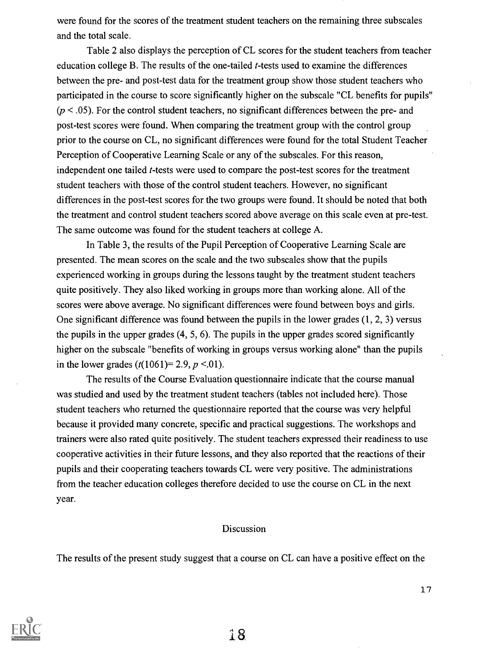were found for the scores of the treatment student teachers on the remaining three subscales and the total scale.

Table 2 also displays the perception of CL scores for the student teachers from teacher education college B. The results of the one-tailed t-tests used to examine the differences between the pre- and post-test data for the treatment group show those student teachers who participated in the course to score significantly higher on the subscale "CL benefits for pupils"  $(p < .05)$ . For the control student teachers, no significant differences between the pre- and post-test scores were found. When comparing the treatment group with the control group prior to the course on CL, no significant differences were found for the total Student Teacher Perception of Cooperative Learning Scale or any of the subscales. For this reason, independent one tailed t-tests were used to compare the post-test scores for the treatment student teachers with those of the control student teachers. However, no significant differences in the post-test scores for the two groups were found. It should be noted that both the treatment and control student teachers scored above average on this scale even at pre-test. The same outcome was found for the student teachers at college A.

In Table 3, the results of the Pupil Perception of Cooperative Learning Scale are presented. The mean scores on the scale and the two subscales show that the pupils experienced working in groups during the lessons taught by the treatment student teachers quite positively. They also liked working in groups more than working alone. All of the scores were above average. No significant differences were found between boys and girls. One significant difference was found between the pupils in the lower grades (1, 2, 3) versus the pupils in the upper grades (4, 5, 6). The pupils in the upper grades scored significantly higher on the subscale "benefits of working in groups versus working alone" than the pupils in the lower grades  $(t(1061)=2.9, p < 0.01)$ .

The results of the Course Evaluation questionnaire indicate that the course manual was studied and used by the treatment student teachers (tables not included here). Those student teachers who returned the questionnaire reported that the course was very helpful because it provided many concrete, specific and practical suggestions. The workshops and trainers were also rated quite positively. The student teachers expressed their readiness to use cooperative activities in their future lessons, and they also reported that the reactions of their pupils and their cooperating teachers towards CL were very positive. The administrations from the teacher education colleges therefore decided to use the course on CL in the next year.

#### Discussion

The results of the present study suggest that a course on CL can have a positive effect on the

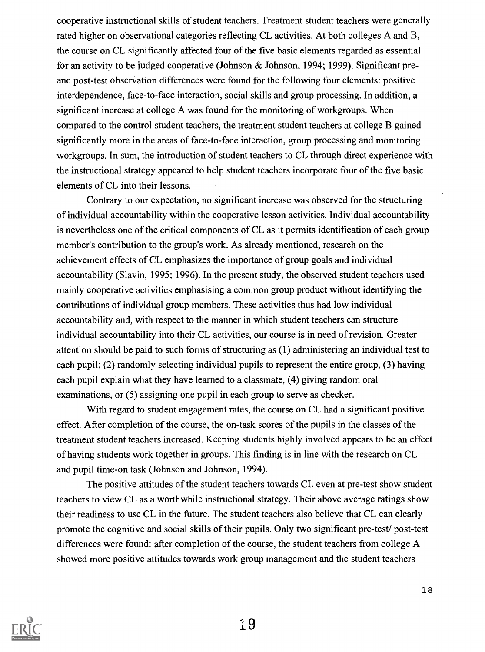cooperative instructional skills of student teachers. Treatment student teachers were generally rated higher on observational categories reflecting CL activities. At both colleges A and B, the course on CL significantly affected four of the five basic elements regarded as essential for an activity to be judged cooperative (Johnson & Johnson, 1994; 1999). Significant preand post-test observation differences were found for the following four elements: positive interdependence, face-to-face interaction, social skills and group processing. In addition, a significant increase at college A was found for the monitoring of workgroups. When compared to the control student teachers, the treatment student teachers at college B gained significantly more in the areas of face-to-face interaction, group processing and monitoring workgroups. In sum, the introduction of student teachers to CL through direct experience with the instructional strategy appeared to help student teachers incorporate four of the five basic elements of CL into their lessons.

Contrary to our expectation, no significant increase was observed for the structuring of individual accountability within the cooperative lesson activities. Individual accountability is nevertheless one of the critical components of CL as it permits identification of each group member's contribution to the group's work. As already mentioned, research on the achievement effects of CL emphasizes the importance of group goals and individual accountability (Slavin, 1995; 1996). In the present study, the observed student teachers used mainly cooperative activities emphasising a common group product without identifying the contributions of individual group members. These activities thus had low individual accountability and, with respect to the manner in which student teachers can structure individual accountability into their CL activities, our course is in need of revision. Greater attention should be paid to such forms of structuring as (1) administering an individual test to each pupil; (2) randomly selecting individual pupils to represent the entire group, (3) having each pupil explain what they have learned to a classmate, (4) giving random oral examinations, or (5) assigning one pupil in each group to serve as checker.

With regard to student engagement rates, the course on CL had a significant positive effect. After completion of the course, the on-task scores of the pupils in the classes of the treatment student teachers increased. Keeping students highly involved appears to be an effect of having students work together in groups. This finding is in line with the research on CL and pupil time-on task (Johnson and Johnson, 1994).

The positive attitudes of the student teachers towards CL even at pre-test show student teachers to view CL as a worthwhile instructional strategy. Their above average ratings show their readiness to use CL in the future. The student teachers also believe that CL can clearly promote the cognitive and social skills of their pupils. Only two significant pre-test/ post-test differences were found: after completion of the course, the student teachers from college A showed more positive attitudes towards work group management and the student teachers

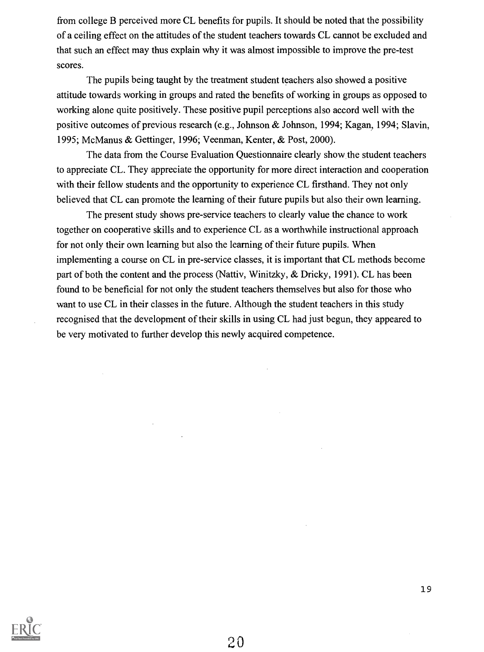from college B perceived more CL benefits for pupils. It should be noted that the possibility of a ceiling effect on the attitudes of the student teachers towards CL cannot be excluded and that such an effect may thus explain why it was almost impossible to improve the pre-test scores.

The pupils being taught by the treatment student teachers also showed a positive attitude towards working in groups and rated the benefits of working in groups as opposed to working alone quite positively. These positive pupil perceptions also accord well with the positive outcomes of previous research (e.g., Johnson & Johnson, 1994; Kagan, 1994; Slavin, 1995; McManus & Gettinger, 1996; Veenman, Kenter, & Post, 2000).

The data from the Course Evaluation Questionnaire clearly show, the student teachers to appreciate CL. They appreciate the opportunity for more direct interaction and cooperation with their fellow students and the opportunity to experience CL firsthand. They not only believed that CL can promote the learning of their future pupils but also their own learning.

The present study shows pre-service teachers to clearly value the chance to work together on cooperative skills and to experience CL as a worthwhile instructional approach for not only their own learning but also the learning of their future pupils. When implementing a course on CL in pre-service classes, it is important that CL methods become part of both the content and the process (Nattiv, Winitzky, & Dricky, 1991). CL has been found to be beneficial for not only the student teachers themselves but also for those who want to use CL in their classes in the future. Although the student teachers in this study recognised that the development of their skills in using CL had just begun, they appeared to be very motivated to further develop this newly acquired competence.

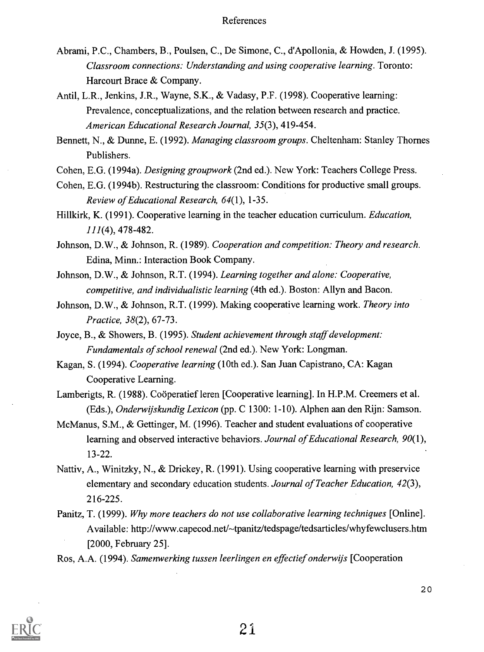- Abrami, P.C., Chambers, B., Poulsen, C., De Simone, C., d'Apollonia, & Howden, J. (1995). Classroom connections: Understanding and using cooperative learning. Toronto: Harcourt Brace & Company.
- Antil, L.R., Jenkins, J.R., Wayne, S.K., & Vadasy, P.F. (1998). Cooperative learning: Prevalence, conceptualizations, and the relation between research and practice. American Educational Research Journal, 35(3), 419-454.
- Bennett, N., & Dunne, E. (1992). Managing classroom groups. Cheltenham: Stanley Thornes Publishers.
- Cohen, E.G. (1994a). Designing groupwork (2nd ed.). New York: Teachers College Press.
- Cohen, E.G. (1994b). Restructuring the classroom: Conditions for productive small groups. Review of Educational Research, 64(1), 1-35.
- Hillkirk, K. (1991). Cooperative learning in the teacher education curriculum. *Education*, 111(4), 478-482.
- Johnson, D.W., & Johnson, R. (1989). Cooperation and competition: Theory and research. Edina, Minn.: Interaction Book Company.
- Johnson, D.W., & Johnson, R.T. (1994). Learning together and alone: Cooperative, competitive, and individualistic learning (4th ed.). Boston: Allyn and Bacon.
- Johnson, D.W., & Johnson, R.T. (1999). Making cooperative learning work. Theory into Practice, 38(2), 67-73.
- Joyce, B., & Showers, B. (1995). Student achievement through staff development: Fundamentals of school renewal (2nd ed.). New York: Longman.
- Kagan, S. (1994). Cooperative learning (10th ed.). San Juan Capistrano, CA: Kagan Cooperative Learning.
- Lamberigts, R. (1988). Coöperatief leren [Cooperative learning]. In H.P.M. Creemers et al. (Eds.), Onderwijskundig Lexicon (pp. C 1300: 1-10). Alphen aan den Rijn: Samson.
- McManus, S.M., & Gettinger, M. (1996). Teacher and student evaluations of cooperative learning and observed interactive behaviors. Journal of Educational Research, 90(1), 13-22.
- Nattiv, A., Winitzky, N., & Drickey, R. (1991). Using cooperative learning with preservice elementary and secondary education students. Journal of Teacher Education, 42(3), 216-225.
- Panitz, T. (1999). Why more teachers do not use collaborative learning techniques [Online]. Available: http://www.capecod.net/~tpanitz/tedspage/tedsarticles/whyfewclusers.htm [2000, February 25].
- Ros, A.A. (1994). Samenwerking tussen leerlingen en effectief onderwijs [Cooperation

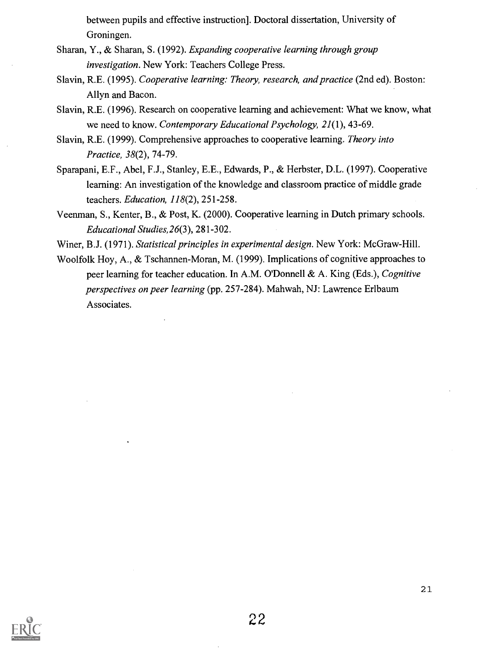between pupils and effective instruction]. Doctoral dissertation, University of Groningen.

- Sharan, Y., & Sharan, S. (1992). Expanding cooperative learning through group investigation. New York: Teachers College Press.
- Slavin, R.E. (1995). Cooperative learning: Theory, research, and practice (2nd ed). Boston: Allyn and Bacon.
- Slavin, R.E. (1996). Research on cooperative learning and achievement: What we know, what we need to know. Contemporary Educational Psychology, 21(1), 43-69.
- Slavin, R.E. (1999). Comprehensive approaches to cooperative learning. Theory into Practice, 38(2), 74-79.
- Sparapani, E.F., Abel, F.J., Stanley, E.E., Edwards, P., & Herbster, D.L. (1997). Cooperative learning: An investigation of the knowledge and classroom practice of middle grade teachers. Education, 118(2), 251-258.
- Veenman, S., Kenter, B., & Post, K. (2000). Cooperative learning in Dutch primary schools. Educational Studies,26(3), 281-302.
- Winer, B.J. (1971). Statistical principles in experimental design. New York: McGraw-Hill.
- Woolfolk Hoy, A., & Tschannen-Moran, M. (1999). Implications of cognitive approaches to peer learning for teacher education. In A.M. O'Donnell & A. King (Eds.), Cognitive perspectives on peer learning (pp. 257-284). Mahwah, NJ: Lawrence Erlbaum Associates.

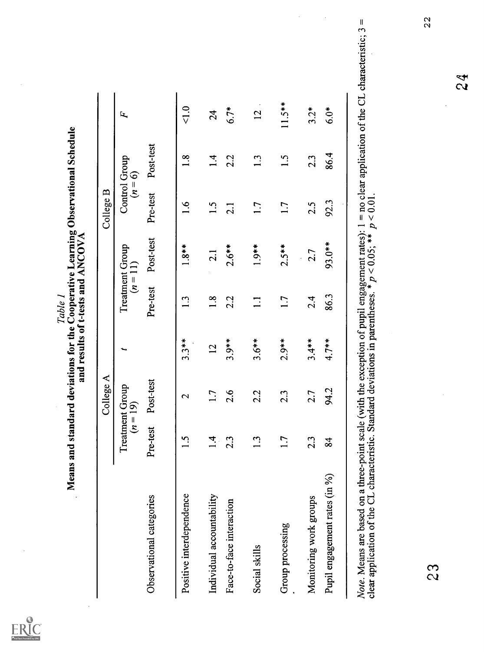| <b>Full Text Provided by ERIC</b> |
|-----------------------------------|

 $\frac{1}{2}$ 

| tional Sc<br>arning Or                                |                                   |
|-------------------------------------------------------|-----------------------------------|
| Means and standard deviations for the Cooperative Les | and results of t-tests and ANCOVA |

|                                                                                                                                                                                                                                                                           |             | College A                            |                |          |                                      | College B   |                            |                      |               |
|---------------------------------------------------------------------------------------------------------------------------------------------------------------------------------------------------------------------------------------------------------------------------|-------------|--------------------------------------|----------------|----------|--------------------------------------|-------------|----------------------------|----------------------|---------------|
|                                                                                                                                                                                                                                                                           |             | <b>Treatment Group</b><br>$(n = 19)$ |                |          | <b>Treatment Group</b><br>$(n = 11)$ |             | Control Group<br>$(n = 6)$ | F                    |               |
| Observational categories                                                                                                                                                                                                                                                  | Pre-test    | Post-test                            |                | Pre-test | Post-test                            | Pre-test    | Post-test                  |                      |               |
| Positive interdependence                                                                                                                                                                                                                                                  | 1.5         | $\overline{\mathbf{C}}$              | $3.3**$        | 1.3      | $1.8**$                              | 1.6         | 1.8                        | $\frac{0}{\sqrt{2}}$ |               |
| Individual accountability                                                                                                                                                                                                                                                 | $\vec{a}$ . | 1.7                                  | $\overline{2}$ | 1.8      | 2.1                                  | $\ddot{.}1$ | 1.4                        | 24                   |               |
| Face-to-face interaction                                                                                                                                                                                                                                                  | 2.3         | 2.6                                  | $3.9**$        | 2.2      | $2.6***$                             | 2.1         | 2.2                        | $6.7*$               |               |
| Social skills                                                                                                                                                                                                                                                             | 1.3         | 22                                   | $3.6**$        | $\Box$   | $1.9**$                              | 1.7         | 1.3                        | $\overline{2}$       |               |
| Group processing                                                                                                                                                                                                                                                          | 1.7         | 2.3                                  | $2.9***$       | 1.7      | $2.5**$                              | 1.7         | $\frac{5}{1}$              | $11.5**$             |               |
| Monitoring work groups                                                                                                                                                                                                                                                    | 2.3         | 2.7                                  | $3.4***$       | 2.4      | 2.7                                  | 2.5         | 2.3                        | $3.2*$               |               |
| Pupil engagement rates (in %)                                                                                                                                                                                                                                             | 84          | 94.2                                 | $4.7**$        | 86.3     | 93.0**                               | 92.3        | 86.4                       | $6.0*$               |               |
| Note. Means are based on a three-point scale (with the exception of pupil engagement rates): $1 = no$ clear application of the CL characteristic; $3 =$<br>clear application of the CL characteristic. Standard deviations in parentheses. $* p < 0.05$ ; $** p < 0.01$ . |             |                                      |                |          |                                      |             |                            |                      |               |
| 23                                                                                                                                                                                                                                                                        |             |                                      |                |          |                                      |             |                            |                      | $\frac{2}{3}$ |
|                                                                                                                                                                                                                                                                           |             | ł,                                   |                |          |                                      |             |                            |                      | 24            |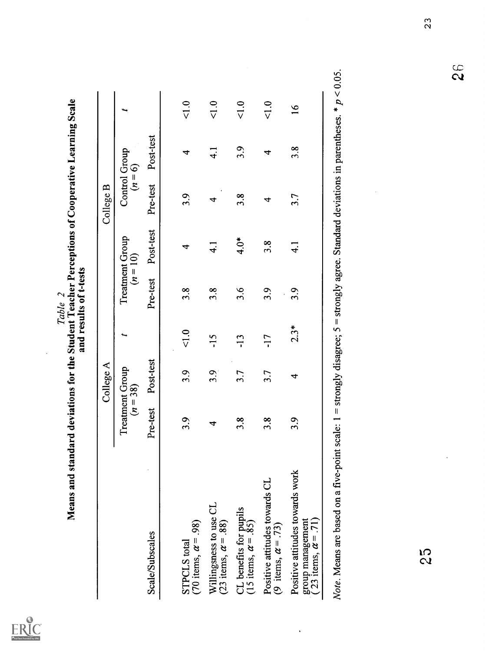| Full Text Provided by ERIC |
|----------------------------|

Means and standard deviations for the Student Teacher Perceptions of Cooperative Learning Scale<br>and standard deviations for the Student Teacher Perceptions of Cooperative Learning Scale

| $\frac{0}{\sqrt{2}}$<br>$\frac{0}{\sqrt{2}}$<br>$\frac{0}{2}$<br>$\frac{0}{\sqrt{2}}$<br>$\frac{8}{16}$<br>Post-test<br>3.9<br>3.8<br>4.1<br>Control Group<br>$(n = 6)$<br>4<br>4<br>Pre-test<br>3.9<br>3.7<br>3.8<br>4<br>4<br>Post-test<br>Treatment Group<br>$(n = 10)$<br>$4.0*$<br>3.8<br>$\frac{1}{4}$<br>$\overline{4}$<br>4<br>Pre-test<br>3.6<br>3.8<br>3.9<br>3.9<br>3.8<br>$2.3*$<br>$\frac{0}{\sqrt{2}}$<br>$-15$<br>$-17$<br>$-13$<br>Post-test<br><b>Treatment Group</b><br>3.9<br>3.9<br>3.7<br>3.7<br>4<br>$(n=38)$<br>Pre-test<br>3.9<br>3.8<br>3.8<br>3.9<br>4<br>Positive attitudes towards work<br>Positive attitudes towards CL<br>Willingsness to use CL<br>CL benefits for pupils<br>(15 items, $\alpha$ = .85)<br>group management<br>$(70$ items, $\alpha$ = .98)<br>$(23$ items, $\alpha$ = .88)<br>(9 items, $\alpha$ = .73)<br>Scale/Subscales<br>STPCLS total |                              | College A |  | College B |    |
|--------------------------------------------------------------------------------------------------------------------------------------------------------------------------------------------------------------------------------------------------------------------------------------------------------------------------------------------------------------------------------------------------------------------------------------------------------------------------------------------------------------------------------------------------------------------------------------------------------------------------------------------------------------------------------------------------------------------------------------------------------------------------------------------------------------------------------------------------------------------------------------------|------------------------------|-----------|--|-----------|----|
|                                                                                                                                                                                                                                                                                                                                                                                                                                                                                                                                                                                                                                                                                                                                                                                                                                                                                            |                              |           |  |           |    |
|                                                                                                                                                                                                                                                                                                                                                                                                                                                                                                                                                                                                                                                                                                                                                                                                                                                                                            |                              |           |  |           |    |
|                                                                                                                                                                                                                                                                                                                                                                                                                                                                                                                                                                                                                                                                                                                                                                                                                                                                                            |                              |           |  |           |    |
|                                                                                                                                                                                                                                                                                                                                                                                                                                                                                                                                                                                                                                                                                                                                                                                                                                                                                            |                              |           |  |           |    |
|                                                                                                                                                                                                                                                                                                                                                                                                                                                                                                                                                                                                                                                                                                                                                                                                                                                                                            |                              |           |  |           |    |
|                                                                                                                                                                                                                                                                                                                                                                                                                                                                                                                                                                                                                                                                                                                                                                                                                                                                                            |                              |           |  |           |    |
|                                                                                                                                                                                                                                                                                                                                                                                                                                                                                                                                                                                                                                                                                                                                                                                                                                                                                            | $(23$ items, $\alpha$ = .71) |           |  |           |    |
|                                                                                                                                                                                                                                                                                                                                                                                                                                                                                                                                                                                                                                                                                                                                                                                                                                                                                            | <b>25</b>                    |           |  |           |    |
|                                                                                                                                                                                                                                                                                                                                                                                                                                                                                                                                                                                                                                                                                                                                                                                                                                                                                            |                              |           |  |           | 26 |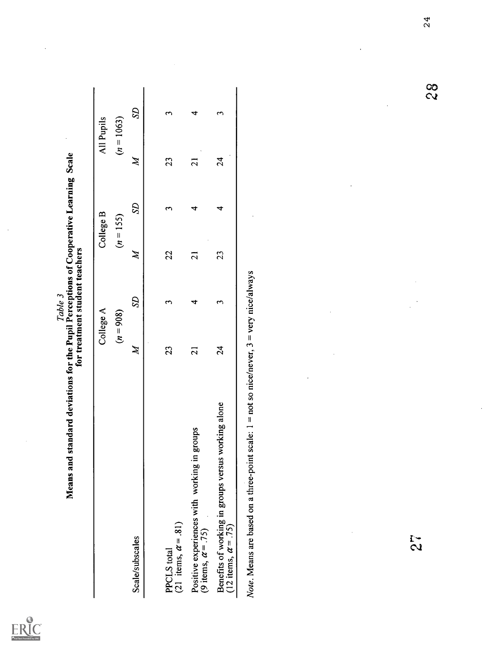ERIC

| ١<br>able<br>۔<br>ا | Means and standard deviations for the Pupil Perceptions of Cooperative Learning Scale | tor treatment student teacher. |  |
|---------------------|---------------------------------------------------------------------------------------|--------------------------------|--|
|---------------------|---------------------------------------------------------------------------------------|--------------------------------|--|

|                                                                                               |                | College A            |                 | College B            |                 | <b>All Pupils</b>    |               |
|-----------------------------------------------------------------------------------------------|----------------|----------------------|-----------------|----------------------|-----------------|----------------------|---------------|
|                                                                                               |                | $(n = 908)$          |                 | $(n = 155)$          |                 | $(n = 1063)$         |               |
| Scale/subscales                                                                               | $\cancel{N}$   | S                    | $\cancel{N}$    | S <sub>D</sub>       | $\cancel{M}$    | $\overline{S}$       |               |
|                                                                                               |                |                      |                 |                      |                 |                      |               |
| $(21$ items, $\alpha = .81)$<br>PPCLS total                                                   | 23             | $\mathbf{\tilde{5}}$ | 22              | $\mathbf{\tilde{5}}$ | 23              | $\mathbf{\tilde{5}}$ |               |
| Positive experiences with working in groups<br>(9 items, $\alpha$ = .75)                      | $\overline{a}$ | 4                    | $\overline{21}$ | 4                    | $\overline{21}$ | 4                    |               |
| Benefits of working in groups versus working alone<br>(12 items, $\alpha$ = .75)              | 24             | 3                    | 23              | 4                    | 24              | $\mathbf{c}$         |               |
| Note. Means are based on a three-point scale: $1 =$ not so nice/never, $3 =$ very nice/always |                |                      |                 |                      |                 |                      |               |
|                                                                                               | $\cdot$        |                      |                 |                      |                 |                      |               |
|                                                                                               |                |                      |                 |                      |                 |                      |               |
|                                                                                               |                |                      |                 |                      |                 |                      |               |
|                                                                                               |                |                      |                 |                      |                 | $\cdot$              |               |
| $\tilde{z}$                                                                                   |                |                      |                 |                      |                 |                      | $\frac{2}{4}$ |
|                                                                                               |                |                      |                 |                      |                 | $\frac{8}{3}$        |               |
|                                                                                               |                |                      |                 |                      |                 |                      |               |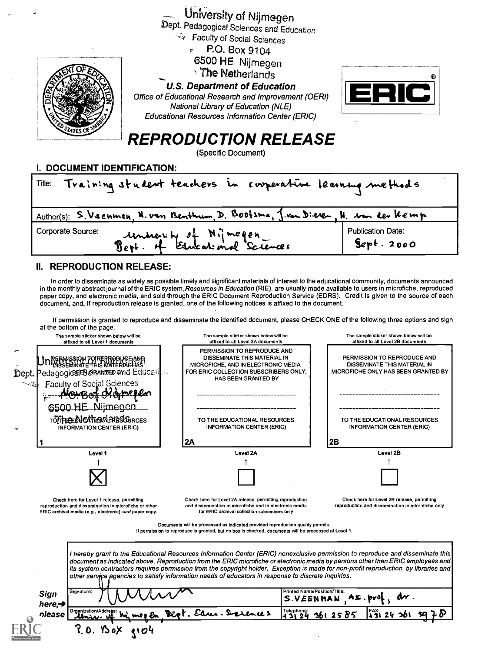

#### II. REPRODUCTION RELEASE:

In order to disseminate as widely as possible timely and significant materials of interest to the educational community, documents announced in the monthly abstract journal of the ERIC system, Resources in Education (RIE), are usually made available to users in microfiche, reproduced paper copy, and electronic media, and sold through the ERIC Document Reproduction Service (EDRS). Credit is given to the source of each document, and, if reproduction release is granted, one of the following notices is affixed to the document.

If permission is granted to reproduce and disseminate the identified document, please CHECK ONE of the following three options and sign at the bottom of the page.



| Sign |
|------|
| nere |
| nlea |

| Sign<br>here, <del>→</del> [ | ∦Signature:<br>Mw.                                  | Printed Name/Position/Title:<br> S.VEENMAN AS.Pvol, av. |
|------------------------------|-----------------------------------------------------|---------------------------------------------------------|
| nlease                       | Organization/Address: Minagen Dept. Educa. Serences | $13124$ 361 2585 $13124$ 361 3978                       |
|                              | P.O. Box 1104                                       |                                                         |